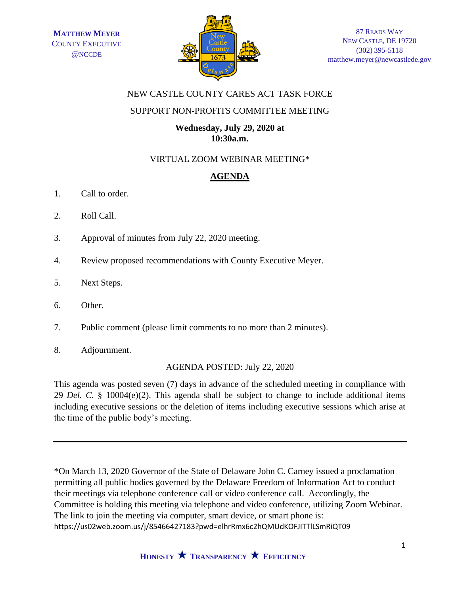

## NEW CASTLE COUNTY CARES ACT TASK FORCE

### SUPPORT NON-PROFITS COMMITTEE MEETING

### **Wednesday, July 29, 2020 at 10:30a.m.**

# VIRTUAL ZOOM WEBINAR MEETING\*

# **AGENDA**

- 1. Call to order.
- 2. Roll Call.
- 3. Approval of minutes from July 22, 2020 meeting.
- 4. Review proposed recommendations with County Executive Meyer.
- 5. Next Steps.
- 6. Other.
- 7. Public comment (please limit comments to no more than 2 minutes).
- 8. Adjournment.

#### AGENDA POSTED: July 22, 2020

This agenda was posted seven (7) days in advance of the scheduled meeting in compliance with 29 *Del. C.* § 10004(e)(2). This agenda shall be subject to change to include additional items including executive sessions or the deletion of items including executive sessions which arise at the time of the public body's meeting.

\*On March 13, 2020 Governor of the State of Delaware John C. Carney issued a proclamation permitting all public bodies governed by the Delaware Freedom of Information Act to conduct their meetings via telephone conference call or video conference call. Accordingly, the Committee is holding this meeting via telephone and video conference, utilizing Zoom Webinar. The link to join the meeting via computer, smart device, or smart phone is: https://us02web.zoom.us/j/85466427183?pwd=elhrRmx6c2hQMUdKOFJITTlLSmRiQT09